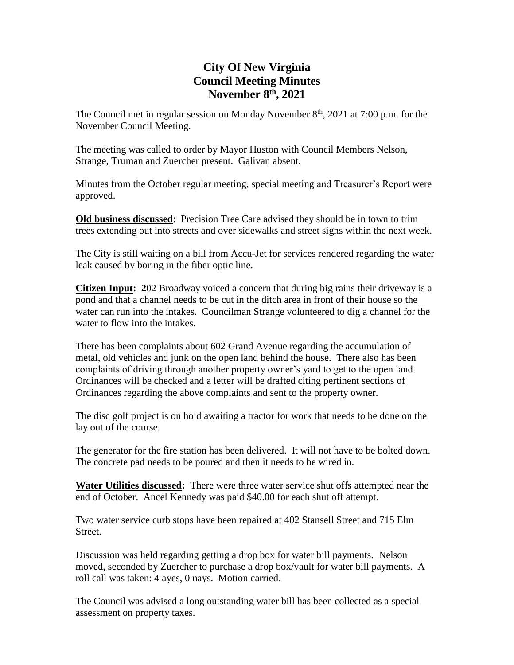# **City Of New Virginia Council Meeting Minutes November 8th , 2021**

The Council met in regular session on Monday November  $8<sup>th</sup>$ , 2021 at 7:00 p.m. for the November Council Meeting.

The meeting was called to order by Mayor Huston with Council Members Nelson, Strange, Truman and Zuercher present. Galivan absent.

Minutes from the October regular meeting, special meeting and Treasurer's Report were approved.

**Old business discussed**: Precision Tree Care advised they should be in town to trim trees extending out into streets and over sidewalks and street signs within the next week.

The City is still waiting on a bill from Accu-Jet for services rendered regarding the water leak caused by boring in the fiber optic line.

**Citizen Input: 2**02 Broadway voiced a concern that during big rains their driveway is a pond and that a channel needs to be cut in the ditch area in front of their house so the water can run into the intakes. Councilman Strange volunteered to dig a channel for the water to flow into the intakes.

There has been complaints about 602 Grand Avenue regarding the accumulation of metal, old vehicles and junk on the open land behind the house. There also has been complaints of driving through another property owner's yard to get to the open land. Ordinances will be checked and a letter will be drafted citing pertinent sections of Ordinances regarding the above complaints and sent to the property owner.

The disc golf project is on hold awaiting a tractor for work that needs to be done on the lay out of the course.

The generator for the fire station has been delivered. It will not have to be bolted down. The concrete pad needs to be poured and then it needs to be wired in.

**Water Utilities discussed:** There were three water service shut offs attempted near the end of October. Ancel Kennedy was paid \$40.00 for each shut off attempt.

Two water service curb stops have been repaired at 402 Stansell Street and 715 Elm Street.

Discussion was held regarding getting a drop box for water bill payments. Nelson moved, seconded by Zuercher to purchase a drop box/vault for water bill payments. A roll call was taken: 4 ayes, 0 nays. Motion carried.

The Council was advised a long outstanding water bill has been collected as a special assessment on property taxes.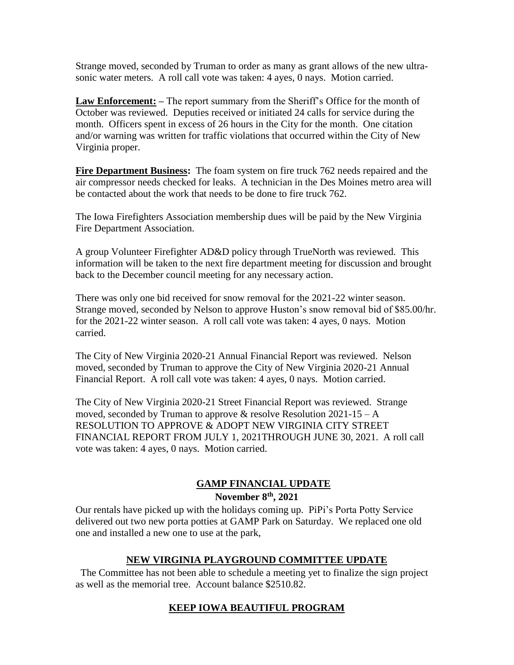Strange moved, seconded by Truman to order as many as grant allows of the new ultrasonic water meters. A roll call vote was taken: 4 ayes, 0 nays. Motion carried.

**Law Enforcement: –** The report summary from the Sheriff's Office for the month of October was reviewed. Deputies received or initiated 24 calls for service during the month. Officers spent in excess of 26 hours in the City for the month. One citation and/or warning was written for traffic violations that occurred within the City of New Virginia proper.

**Fire Department Business:** The foam system on fire truck 762 needs repaired and the air compressor needs checked for leaks. A technician in the Des Moines metro area will be contacted about the work that needs to be done to fire truck 762.

The Iowa Firefighters Association membership dues will be paid by the New Virginia Fire Department Association.

A group Volunteer Firefighter AD&D policy through TrueNorth was reviewed. This information will be taken to the next fire department meeting for discussion and brought back to the December council meeting for any necessary action.

There was only one bid received for snow removal for the 2021-22 winter season. Strange moved, seconded by Nelson to approve Huston's snow removal bid of \$85.00/hr. for the 2021-22 winter season. A roll call vote was taken: 4 ayes, 0 nays. Motion carried.

The City of New Virginia 2020-21 Annual Financial Report was reviewed. Nelson moved, seconded by Truman to approve the City of New Virginia 2020-21 Annual Financial Report. A roll call vote was taken: 4 ayes, 0 nays. Motion carried.

The City of New Virginia 2020-21 Street Financial Report was reviewed. Strange moved, seconded by Truman to approve  $\&$  resolve Resolution 2021-15 – A RESOLUTION TO APPROVE & ADOPT NEW VIRGINIA CITY STREET FINANCIAL REPORT FROM JULY 1, 2021THROUGH JUNE 30, 2021. A roll call vote was taken: 4 ayes, 0 nays. Motion carried.

## **GAMP FINANCIAL UPDATE**

#### **November 8th , 2021**

Our rentals have picked up with the holidays coming up. PiPi's Porta Potty Service delivered out two new porta potties at GAMP Park on Saturday. We replaced one old one and installed a new one to use at the park,

## **NEW VIRGINIA PLAYGROUND COMMITTEE UPDATE**

 The Committee has not been able to schedule a meeting yet to finalize the sign project as well as the memorial tree. Account balance \$2510.82.

## **KEEP IOWA BEAUTIFUL PROGRAM**